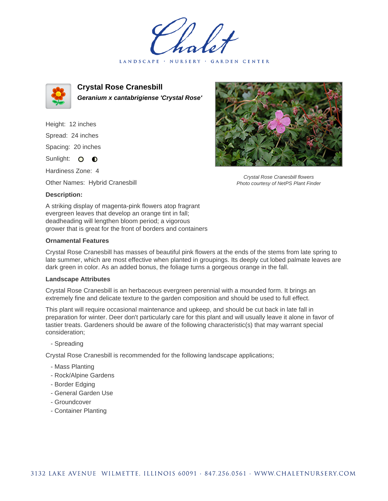LANDSCAPE · NURSERY · GARDEN CENTER



**Crystal Rose Cranesbill Geranium x cantabrigiense 'Crystal Rose'**

Height: 12 inches Spread: 24 inches Spacing: 20 inches Sunlight: O **O** 

Hardiness Zone: 4

Other Names: Hybrid Cranesbill

## **Description:**

A striking display of magenta-pink flowers atop fragrant evergreen leaves that develop an orange tint in fall; deadheading will lengthen bloom period; a vigorous grower that is great for the front of borders and containers

## **Ornamental Features**

Crystal Rose Cranesbill has masses of beautiful pink flowers at the ends of the stems from late spring to late summer, which are most effective when planted in groupings. Its deeply cut lobed palmate leaves are dark green in color. As an added bonus, the foliage turns a gorgeous orange in the fall.

#### **Landscape Attributes**

Crystal Rose Cranesbill is an herbaceous evergreen perennial with a mounded form. It brings an extremely fine and delicate texture to the garden composition and should be used to full effect.

This plant will require occasional maintenance and upkeep, and should be cut back in late fall in preparation for winter. Deer don't particularly care for this plant and will usually leave it alone in favor of tastier treats. Gardeners should be aware of the following characteristic(s) that may warrant special consideration;

# - Spreading

Crystal Rose Cranesbill is recommended for the following landscape applications;

- Mass Planting
- Rock/Alpine Gardens
- Border Edging
- General Garden Use
- Groundcover
- Container Planting



Crystal Rose Cranesbill flowers Photo courtesy of NetPS Plant Finder